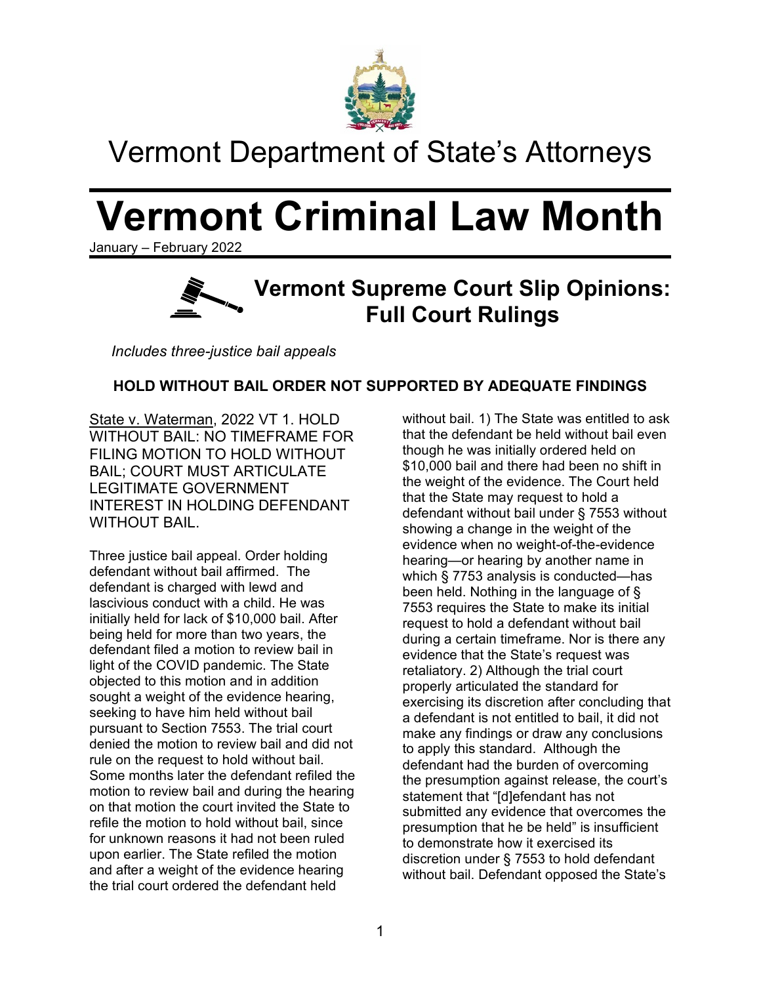

## Vermont Department of State's Attorneys

# **Vermont Criminal Law Month**

January – February 2022



*Includes three-justice bail appeals*

### **HOLD WITHOUT BAIL ORDER NOT SUPPORTED BY ADEQUATE FINDINGS**

State v. Waterman, 2022 VT 1. HOLD WITHOUT BAIL: NO TIMEFRAME FOR FILING MOTION TO HOLD WITHOUT BAIL; COURT MUST ARTICULATE LEGITIMATE GOVERNMENT INTEREST IN HOLDING DEFENDANT WITHOUT BAIL.

Three justice bail appeal. Order holding defendant without bail affirmed. The defendant is charged with lewd and lascivious conduct with a child. He was initially held for lack of \$10,000 bail. After being held for more than two years, the defendant filed a motion to review bail in light of the COVID pandemic. The State objected to this motion and in addition sought a weight of the evidence hearing, seeking to have him held without bail pursuant to Section 7553. The trial court denied the motion to review bail and did not rule on the request to hold without bail. Some months later the defendant refiled the motion to review bail and during the hearing on that motion the court invited the State to refile the motion to hold without bail, since for unknown reasons it had not been ruled upon earlier. The State refiled the motion and after a weight of the evidence hearing the trial court ordered the defendant held

without bail. 1) The State was entitled to ask that the defendant be held without bail even though he was initially ordered held on \$10,000 bail and there had been no shift in the weight of the evidence. The Court held that the State may request to hold a defendant without bail under § 7553 without showing a change in the weight of the evidence when no weight-of-the-evidence hearing—or hearing by another name in which § 7753 analysis is conducted—has been held. Nothing in the language of § 7553 requires the State to make its initial request to hold a defendant without bail during a certain timeframe. Nor is there any evidence that the State's request was retaliatory. 2) Although the trial court properly articulated the standard for exercising its discretion after concluding that a defendant is not entitled to bail, it did not make any findings or draw any conclusions to apply this standard. Although the defendant had the burden of overcoming the presumption against release, the court's statement that "[d]efendant has not submitted any evidence that overcomes the presumption that he be held" is insufficient to demonstrate how it exercised its discretion under § 7553 to hold defendant without bail. Defendant opposed the State's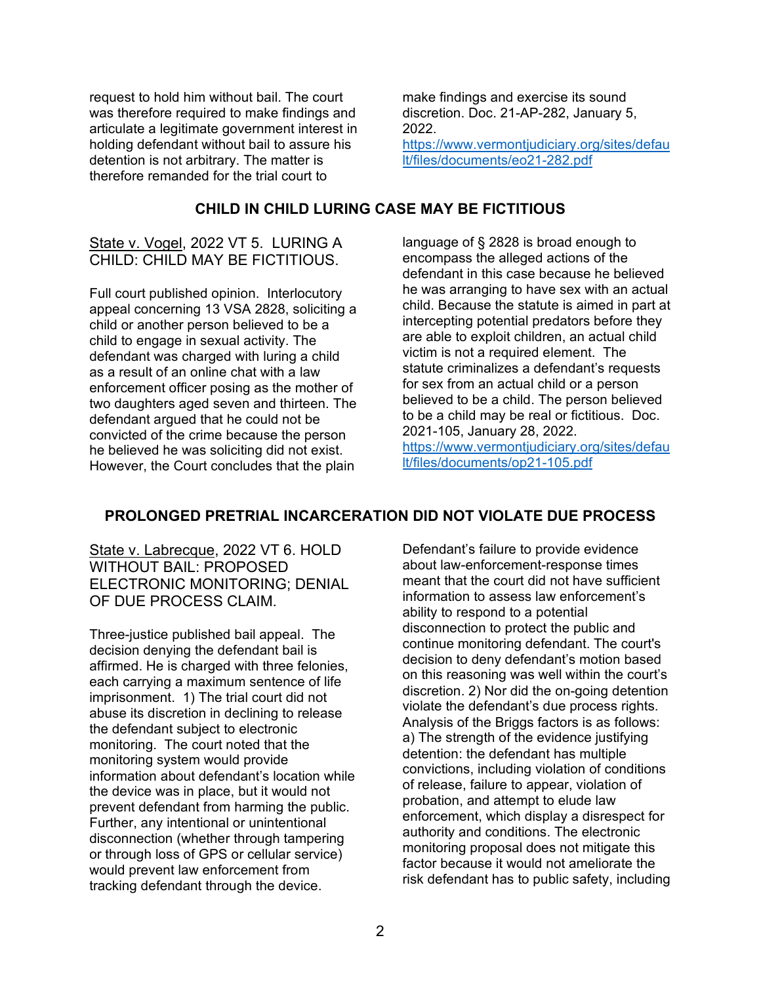request to hold him without bail. The court was therefore required to make findings and articulate a legitimate government interest in holding defendant without bail to assure his detention is not arbitrary. The matter is therefore remanded for the trial court to

make findings and exercise its sound discretion. Doc. 21-AP-282, January 5, 2022. [https://www.vermontjudiciary.org/sites/defau](https://www.vermontjudiciary.org/sites/default/files/documents/eo21-282.pdf) [lt/files/documents/eo21-282.pdf](https://www.vermontjudiciary.org/sites/default/files/documents/eo21-282.pdf)

### **CHILD IN CHILD LURING CASE MAY BE FICTITIOUS**

### State v. Vogel, 2022 VT 5. LURING A CHILD: CHILD MAY BE FICTITIOUS.

Full court published opinion. Interlocutory appeal concerning 13 VSA 2828, soliciting a child or another person believed to be a child to engage in sexual activity. The defendant was charged with luring a child as a result of an online chat with a law enforcement officer posing as the mother of two daughters aged seven and thirteen. The defendant argued that he could not be convicted of the crime because the person he believed he was soliciting did not exist. However, the Court concludes that the plain

language of § 2828 is broad enough to encompass the alleged actions of the defendant in this case because he believed he was arranging to have sex with an actual child. Because the statute is aimed in part at intercepting potential predators before they are able to exploit children, an actual child victim is not a required element. The statute criminalizes a defendant's requests for sex from an actual child or a person believed to be a child. The person believed to be a child may be real or fictitious. Doc. 2021-105, January 28, 2022. [https://www.vermontjudiciary.org/sites/defau](https://www.vermontjudiciary.org/sites/default/files/documents/op21-105.pdf) [lt/files/documents/op21-105.pdf](https://www.vermontjudiciary.org/sites/default/files/documents/op21-105.pdf)

### **PROLONGED PRETRIAL INCARCERATION DID NOT VIOLATE DUE PROCESS**

State v. Labrecque, 2022 VT 6. HOLD WITHOUT BAIL: PROPOSED ELECTRONIC MONITORING; DENIAL OF DUE PROCESS CLAIM.

Three-justice published bail appeal. The decision denying the defendant bail is affirmed. He is charged with three felonies, each carrying a maximum sentence of life imprisonment. 1) The trial court did not abuse its discretion in declining to release the defendant subject to electronic monitoring. The court noted that the monitoring system would provide information about defendant's location while the device was in place, but it would not prevent defendant from harming the public. Further, any intentional or unintentional disconnection (whether through tampering or through loss of GPS or cellular service) would prevent law enforcement from tracking defendant through the device.

Defendant's failure to provide evidence about law-enforcement-response times meant that the court did not have sufficient information to assess law enforcement's ability to respond to a potential disconnection to protect the public and continue monitoring defendant. The court's decision to deny defendant's motion based on this reasoning was well within the court's discretion. 2) Nor did the on-going detention violate the defendant's due process rights. Analysis of the Briggs factors is as follows: a) The strength of the evidence justifying detention: the defendant has multiple convictions, including violation of conditions of release, failure to appear, violation of probation, and attempt to elude law enforcement, which display a disrespect for authority and conditions. The electronic monitoring proposal does not mitigate this factor because it would not ameliorate the risk defendant has to public safety, including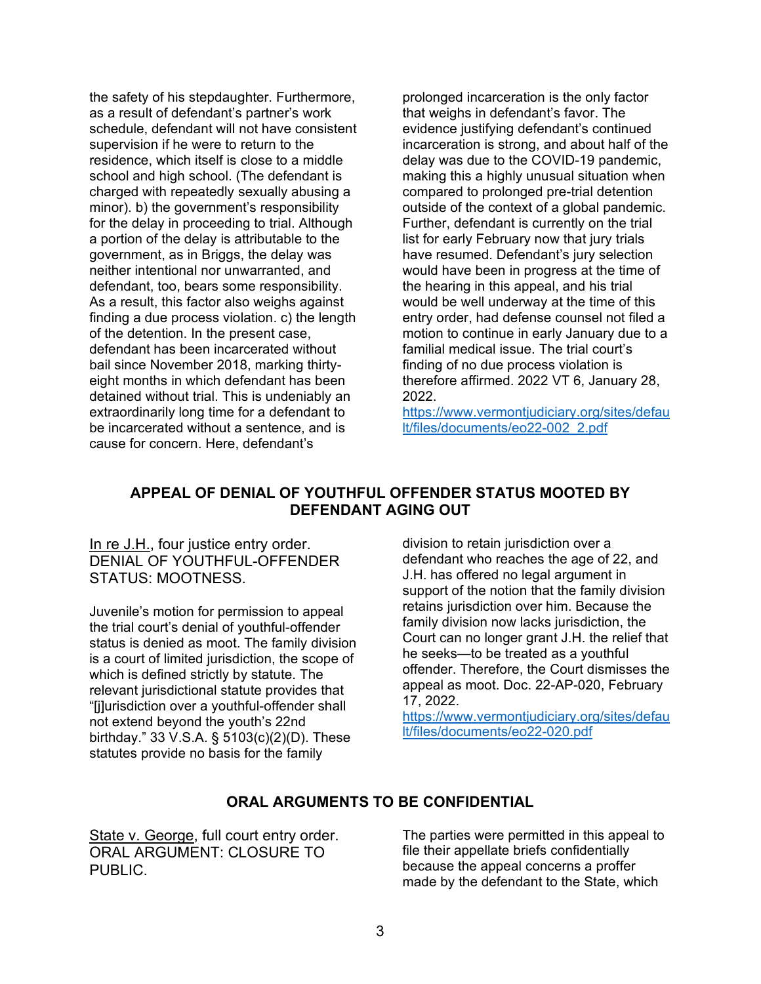the safety of his stepdaughter. Furthermore, as a result of defendant's partner's work schedule, defendant will not have consistent supervision if he were to return to the residence, which itself is close to a middle school and high school. (The defendant is charged with repeatedly sexually abusing a minor). b) the government's responsibility for the delay in proceeding to trial. Although a portion of the delay is attributable to the government, as in Briggs, the delay was neither intentional nor unwarranted, and defendant, too, bears some responsibility. As a result, this factor also weighs against finding a due process violation. c) the length of the detention. In the present case, defendant has been incarcerated without bail since November 2018, marking thirtyeight months in which defendant has been detained without trial. This is undeniably an extraordinarily long time for a defendant to be incarcerated without a sentence, and is cause for concern. Here, defendant's

prolonged incarceration is the only factor that weighs in defendant's favor. The evidence justifying defendant's continued incarceration is strong, and about half of the delay was due to the COVID-19 pandemic, making this a highly unusual situation when compared to prolonged pre-trial detention outside of the context of a global pandemic. Further, defendant is currently on the trial list for early February now that jury trials have resumed. Defendant's jury selection would have been in progress at the time of the hearing in this appeal, and his trial would be well underway at the time of this entry order, had defense counsel not filed a motion to continue in early January due to a familial medical issue. The trial court's finding of no due process violation is therefore affirmed. 2022 VT 6, January 28, 2022.

[https://www.vermontjudiciary.org/sites/defau](https://www.vermontjudiciary.org/sites/default/files/documents/eo22-002_2.pdf) [lt/files/documents/eo22-002\\_2.pdf](https://www.vermontjudiciary.org/sites/default/files/documents/eo22-002_2.pdf)

#### **APPEAL OF DENIAL OF YOUTHFUL OFFENDER STATUS MOOTED BY DEFENDANT AGING OUT**

In re J.H., four justice entry order. DENIAL OF YOUTHFUL-OFFENDER STATUS: MOOTNESS.

Juvenile's motion for permission to appeal the trial court's denial of youthful-offender status is denied as moot. The family division is a court of limited jurisdiction, the scope of which is defined strictly by statute. The relevant jurisdictional statute provides that "[j]urisdiction over a youthful-offender shall not extend beyond the youth's 22nd birthday." 33 V.S.A. § 5103(c)(2)(D). These statutes provide no basis for the family

division to retain jurisdiction over a defendant who reaches the age of 22, and J.H. has offered no legal argument in support of the notion that the family division retains jurisdiction over him. Because the family division now lacks jurisdiction, the Court can no longer grant J.H. the relief that he seeks—to be treated as a youthful offender. Therefore, the Court dismisses the appeal as moot. Doc. 22-AP-020, February 17, 2022.

[https://www.vermontjudiciary.org/sites/defau](https://www.vermontjudiciary.org/sites/default/files/documents/eo22-020.pdf) [lt/files/documents/eo22-020.pdf](https://www.vermontjudiciary.org/sites/default/files/documents/eo22-020.pdf)

### **ORAL ARGUMENTS TO BE CONFIDENTIAL**

State v. George, full court entry order. ORAL ARGUMENT: CLOSURE TO PUBLIC.

The parties were permitted in this appeal to file their appellate briefs confidentially because the appeal concerns a proffer made by the defendant to the State, which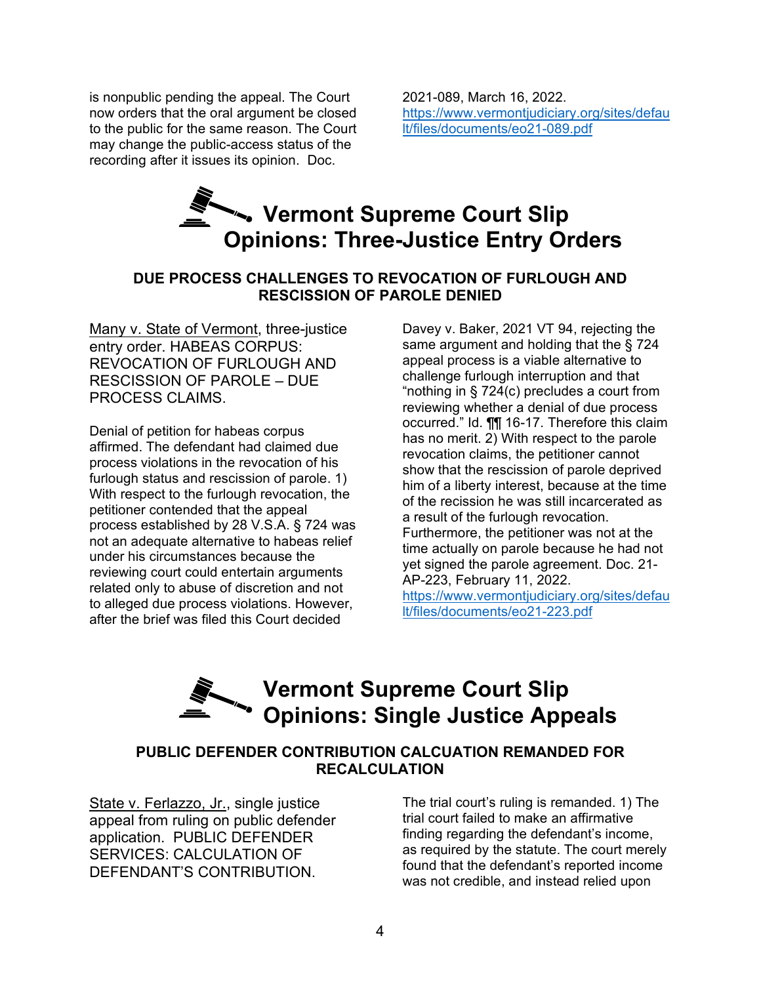is nonpublic pending the appeal. The Court now orders that the oral argument be closed to the public for the same reason. The Court may change the public-access status of the recording after it issues its opinion. Doc.

2021-089, March 16, 2022. [https://www.vermontjudiciary.org/sites/defau](https://www.vermontjudiciary.org/sites/default/files/documents/eo21-089.pdf) [lt/files/documents/eo21-089.pdf](https://www.vermontjudiciary.org/sites/default/files/documents/eo21-089.pdf)

### **Vermont Supreme Court Slip Opinions: Three-Justice Entry Orders**

### **DUE PROCESS CHALLENGES TO REVOCATION OF FURLOUGH AND RESCISSION OF PAROLE DENIED**

Many v. State of Vermont, three-justice entry order. HABEAS CORPUS: REVOCATION OF FURLOUGH AND RESCISSION OF PAROLE – DUE PROCESS CLAIMS.

Denial of petition for habeas corpus affirmed. The defendant had claimed due process violations in the revocation of his furlough status and rescission of parole. 1) With respect to the furlough revocation, the petitioner contended that the appeal process established by 28 V.S.A. § 724 was not an adequate alternative to habeas relief under his circumstances because the reviewing court could entertain arguments related only to abuse of discretion and not to alleged due process violations. However, after the brief was filed this Court decided

Davey v. Baker, 2021 VT 94, rejecting the same argument and holding that the § 724 appeal process is a viable alternative to challenge furlough interruption and that "nothing in § 724(c) precludes a court from reviewing whether a denial of due process occurred." Id. ¶¶ 16-17. Therefore this claim has no merit. 2) With respect to the parole revocation claims, the petitioner cannot show that the rescission of parole deprived him of a liberty interest, because at the time of the recission he was still incarcerated as a result of the furlough revocation. Furthermore, the petitioner was not at the time actually on parole because he had not yet signed the parole agreement. Doc. 21- AP-223, February 11, 2022. [https://www.vermontjudiciary.org/sites/defau](https://www.vermontjudiciary.org/sites/default/files/documents/eo21-223.pdf) [lt/files/documents/eo21-223.pdf](https://www.vermontjudiciary.org/sites/default/files/documents/eo21-223.pdf)

### **Vermont Supreme Court Slip Opinions: Single Justice Appeals**

### **PUBLIC DEFENDER CONTRIBUTION CALCUATION REMANDED FOR RECALCULATION**

State v. Ferlazzo, Jr., single justice appeal from ruling on public defender application. PUBLIC DEFENDER SERVICES: CALCULATION OF DEFENDANT'S CONTRIBUTION.

The trial court's ruling is remanded. 1) The trial court failed to make an affirmative finding regarding the defendant's income, as required by the statute. The court merely found that the defendant's reported income was not credible, and instead relied upon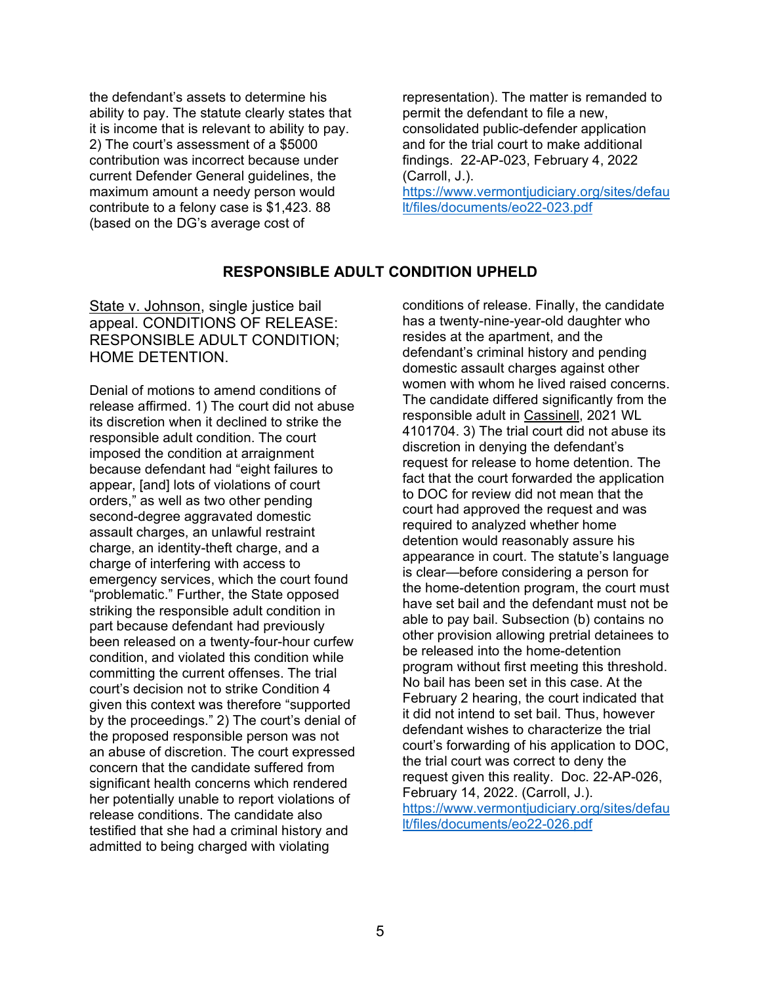the defendant's assets to determine his ability to pay. The statute clearly states that it is income that is relevant to ability to pay. 2) The court's assessment of a \$5000 contribution was incorrect because under current Defender General guidelines, the maximum amount a needy person would contribute to a felony case is \$1,423. 88 (based on the DG's average cost of

representation). The matter is remanded to permit the defendant to file a new, consolidated public-defender application and for the trial court to make additional findings. 22-AP-023, February 4, 2022 (Carroll, J.).

[https://www.vermontjudiciary.org/sites/defau](https://www.vermontjudiciary.org/sites/default/files/documents/eo22-023.pdf) [lt/files/documents/eo22-023.pdf](https://www.vermontjudiciary.org/sites/default/files/documents/eo22-023.pdf)

#### **RESPONSIBLE ADULT CONDITION UPHELD**

State v. Johnson, single justice bail appeal. CONDITIONS OF RELEASE: RESPONSIBLE ADULT CONDITION; HOME DETENTION.

Denial of motions to amend conditions of release affirmed. 1) The court did not abuse its discretion when it declined to strike the responsible adult condition. The court imposed the condition at arraignment because defendant had "eight failures to appear, [and] lots of violations of court orders," as well as two other pending second-degree aggravated domestic assault charges, an unlawful restraint charge, an identity-theft charge, and a charge of interfering with access to emergency services, which the court found "problematic." Further, the State opposed striking the responsible adult condition in part because defendant had previously been released on a twenty-four-hour curfew condition, and violated this condition while committing the current offenses. The trial court's decision not to strike Condition 4 given this context was therefore "supported by the proceedings." 2) The court's denial of the proposed responsible person was not an abuse of discretion. The court expressed concern that the candidate suffered from significant health concerns which rendered her potentially unable to report violations of release conditions. The candidate also testified that she had a criminal history and admitted to being charged with violating

conditions of release. Finally, the candidate has a twenty-nine-year-old daughter who resides at the apartment, and the defendant's criminal history and pending domestic assault charges against other women with whom he lived raised concerns. The candidate differed significantly from the responsible adult in Cassinell, 2021 WL 4101704. 3) The trial court did not abuse its discretion in denying the defendant's request for release to home detention. The fact that the court forwarded the application to DOC for review did not mean that the court had approved the request and was required to analyzed whether home detention would reasonably assure his appearance in court. The statute's language is clear—before considering a person for the home-detention program, the court must have set bail and the defendant must not be able to pay bail. Subsection (b) contains no other provision allowing pretrial detainees to be released into the home-detention program without first meeting this threshold. No bail has been set in this case. At the February 2 hearing, the court indicated that it did not intend to set bail. Thus, however defendant wishes to characterize the trial court's forwarding of his application to DOC, the trial court was correct to deny the request given this reality. Doc. 22-AP-026, February 14, 2022. (Carroll, J.). [https://www.vermontjudiciary.org/sites/defau](https://www.vermontjudiciary.org/sites/default/files/documents/eo22-026.pdf) [lt/files/documents/eo22-026.pdf](https://www.vermontjudiciary.org/sites/default/files/documents/eo22-026.pdf)